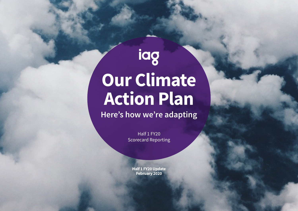# iag **Our Climate Action Plan**

**Here's how we're adapting**

Half 1 FY20 Scorecard Reporting

**Half 1 FY20 Update February 2020**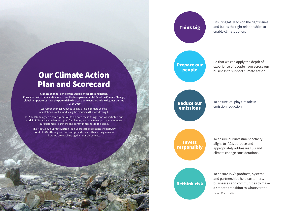Ensuring IAG leads on the right issues and builds the right relationships to enable climate action.

#### Prepare our people

So that we can apply the depth of experience of people from across our business to support climate action.

#### Reduce our emissions

To ensure IAG plays its role in emission reduction.

Invest responsibly To ensure our investment activity aligns to IAG's purpose and appropriately addresses ESG and climate change considerations.

## Rethink risk

To ensure IAG's products, systems and partnerships help customers, businesses and communities to make a smooth transition to whatever the future brings.

### Our Climate Action Plan and Scorecard

**Climate change is one of the world's most pressing issues. Consistent with the scientific reports of the Intergovernmental Panel on Climate Change, global temperatures have the potential to increase between 1.5 and 3.0 degrees Celsius (°C) by 2050.**

> We recognise that IAG needs to play a role in climate change adaptation as well as reducing the emissions that are driving it.

In FY17 IAG designed a three-year CAP to do both these things, and we initiated our work in FY18. As we deliver our plan for change, we hope to support and empower our customers, partners and communities to do the same.

The Half 1 FY20 Climate Action Plan Scorecard represents the halfway point of IAG's three year plan and provides us with a strong sense of how we are tracking against our objectives.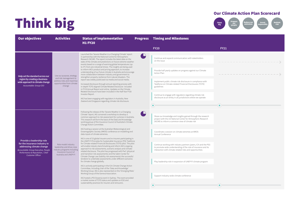

| <b>Our objectives</b>                                                                                                                                                                         | <b>Activities</b>                                                                                                                 | <b>Status of implementation</b><br><b>H1 FY20</b>                                                                                                                                                                                                                                                                                                                                                                                                                                                                                                                                                                                                                                                                                                                                                                                                                                                                                                                                                                                                                                                                                                                                                                                                                                                                                                                                                                                                                                                                                                                                       | <b>Progress</b> | <b>Timing and Milestones</b>                                                                                                                                                                                                                                                                                                                                                                                                                                                                                                                                               |             |
|-----------------------------------------------------------------------------------------------------------------------------------------------------------------------------------------------|-----------------------------------------------------------------------------------------------------------------------------------|-----------------------------------------------------------------------------------------------------------------------------------------------------------------------------------------------------------------------------------------------------------------------------------------------------------------------------------------------------------------------------------------------------------------------------------------------------------------------------------------------------------------------------------------------------------------------------------------------------------------------------------------------------------------------------------------------------------------------------------------------------------------------------------------------------------------------------------------------------------------------------------------------------------------------------------------------------------------------------------------------------------------------------------------------------------------------------------------------------------------------------------------------------------------------------------------------------------------------------------------------------------------------------------------------------------------------------------------------------------------------------------------------------------------------------------------------------------------------------------------------------------------------------------------------------------------------------------------|-----------------|----------------------------------------------------------------------------------------------------------------------------------------------------------------------------------------------------------------------------------------------------------------------------------------------------------------------------------------------------------------------------------------------------------------------------------------------------------------------------------------------------------------------------------------------------------------------------|-------------|
|                                                                                                                                                                                               |                                                                                                                                   |                                                                                                                                                                                                                                                                                                                                                                                                                                                                                                                                                                                                                                                                                                                                                                                                                                                                                                                                                                                                                                                                                                                                                                                                                                                                                                                                                                                                                                                                                                                                                                                         |                 | <b>FY20</b>                                                                                                                                                                                                                                                                                                                                                                                                                                                                                                                                                                | <b>FY21</b> |
| Help set the standard across our<br>region by creating a business-<br>wide approach to climate change<br>Accountable: Group CEO                                                               | Use our purpose, strategy<br>and risk management to<br>address risks and maximise<br>opportunities from climate<br>change         | Launched the 'Severe Weather in a Changing Climate' report<br>in partnership with the National Centre for Atmospheric<br>Research (NCAR). The report includes the latest data on the<br>state of the climate and predictions on future extreme weather<br>events based on a range of warming global temperatures (up<br>to 3°C from pre-industrial times). The insights are being used<br>to inform IAG's product and pricing approach, to increase<br>understanding of our future climate in Australia and encourage<br>more collaboration between industry and government to<br>strengthen property resilience from natural disasters. The<br>report was widely publicised via media and social media.<br>Increased disclosure through annual reporting process with<br>in-depth TCFD aligned Climate Related Disclosure included<br>in FY19 Annual Report and online. Updates on the Climate<br>Related Disclosure have been included in the Half Year FY20<br>Investor Report.<br>IAG has been engaging with regulators in Australia, New<br>Zealand and Singapore regarding climate risk disclosure.                                                                                                                                                                                                                                                                                                                                                                                                                                                                               | $\Box$          | Continue and expand communication with stakeholders<br>on the issue<br>Provide half yearly updates on progress against our Climate<br>Action Plan<br>Implement public climate risk disclosure in compliance with<br>Taskforce on Climate-related Financial Disclosures (TCFD)<br>guidelines<br>Continue to engage with regulators regarding climate risk<br>disclosure as an entity in all jurisdictions where we operate<br>$\bullet$                                                                                                                                     |             |
| Provide a leadership role<br>for the insurance industry in<br>addressing climate change<br>Accountable: Group Executive, People<br>Performance & Reputation, Chief<br><b>Customer Officer</b> | Role model industry<br>leadership and drive cross<br>industry programs including<br>Insurance Council of<br>Australia and UNEP-FI | Following the release of the 'Severe Weather in a Changing<br>Climate' report, IAG convened a workshop to develop a<br>common approach to risk assessment for cyclones in Australia.<br>This research will form the basis of the Data and Knowledge<br>working group of the Insurance Council of Australia's Climate<br>Change Action Committee.<br>IAG hosting a session at the Australian Meteorological and<br>Oceanographic Society (AMOS) conference on modelling and<br>data inputs of climate extremes.<br>IAG is one of 23 global insurers and re-insurers participating in<br>the UNEP-FI Principles for Sustainable Insurance (PSI) Taskforce<br>for Climate-related Financial Disclosures (TCFD) pilot. The pilot<br>will enable industry benchmarking and inform IAG's ongoing<br>approach to risk assessments, scenario analysis and climate-<br>related disclosure. The pilot has progressed with PwC (physical<br>and transition risk assessments) and the Sabin Center for<br>Climate Change Law (liability risk assessments) the successful<br>tenderer to undertake assessments under different scenarios<br>for climate change globally.<br>IAG is actively participating in the ICA Climate Change Action<br>Committee, including chair of the 'Data and Knowledge'<br>Working Group. IAG is also represented on the 'Emerging Risks'<br>Working Group of the Geneva Association.<br>IAG hosted a PSI Oceania event in Sydney. The event provided<br>a market review of TCFD status and updates on ESG and<br>sustainability practices for insurers and reinsurers. | $\bigcirc$      | Share our knowledge and insights gained through the research<br>project with the US National Center for Atmospheric Research<br>(NCAR) to inform a common view of climate risk<br>Coordinate a session on climate extremes at AMOS<br>Annual Conference<br>Continue working with industry partners (peers, ICA and the PSI)<br>to promote wide understanding of the role of insurance and its<br>interaction with climate-related risks and opportunities<br>Play leadership role in expansion of UNEP-FI climate program<br>Support industry-wide climate conference<br>٠ |             |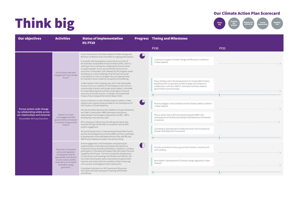

| <b>Our objectives</b>                                                                                                              | <b>Activities</b>                                                                                                                                                                          | <b>Status of implementation</b><br><b>H1 FY20</b>                                                                                                                                                                                                                                                                                                                                                                                                                                                                                                                                                                                                                                                                                                                                                                                                                                                                                                                        |        | <b>Progress Timing and Milestones</b>                                                                                                                                                                                                                                                                                                           |             |
|------------------------------------------------------------------------------------------------------------------------------------|--------------------------------------------------------------------------------------------------------------------------------------------------------------------------------------------|--------------------------------------------------------------------------------------------------------------------------------------------------------------------------------------------------------------------------------------------------------------------------------------------------------------------------------------------------------------------------------------------------------------------------------------------------------------------------------------------------------------------------------------------------------------------------------------------------------------------------------------------------------------------------------------------------------------------------------------------------------------------------------------------------------------------------------------------------------------------------------------------------------------------------------------------------------------------------|--------|-------------------------------------------------------------------------------------------------------------------------------------------------------------------------------------------------------------------------------------------------------------------------------------------------------------------------------------------------|-------------|
|                                                                                                                                    |                                                                                                                                                                                            |                                                                                                                                                                                                                                                                                                                                                                                                                                                                                                                                                                                                                                                                                                                                                                                                                                                                                                                                                                          |        | <b>FY20</b>                                                                                                                                                                                                                                                                                                                                     | <b>FY21</b> |
| Pursue system-wide change<br>by collaborating widely across<br>our relationships and networks<br>Accountable: All Group Executives | Ensure senior executive<br>engagement in key climate<br>forums                                                                                                                             | Active involvement in the New Zealand Climate Change and<br>Business Conference and committed to ongoing participation.<br>In Australia, IAG has played an active role as Co-Chair of<br>the Australian Sustainable Finance Initiative (ASFI), which is<br>working to set a roadmap for realigning the finance sector<br>to support greater social, environmental and economic<br>outcomes. In December, ASFI released its first progress report<br>identifying six critical challenges that the financial sector<br>must address in order to navigate risks and opportunities<br>for Australia's future resilience, prosperity and wellbeing.<br>In New Zealand, IAG is playing a key role in the Sustainable<br>Finance Forum, an initiative of The Aotearoa Circle, which is<br>a partnership of public and private sector leaders committed<br>to sustainable prosperity and the conservation of natural                                                             | $\Box$ | Continue to support Climate Change and Business Conference<br>in New Zealand<br>Play a leading role in the development of a Sustainable Finance<br>Roadmap that incorporates climate change and resilience in<br>collaboration with the UNEP-FI, Australian and New Zealand<br>governments and businesses                                       |             |
|                                                                                                                                    | Deepen our input<br>and engagement with<br>governments and industry<br>on climate change and its<br>impacts                                                                                | resources across the country. In October, the Sustainable<br>Finance Forum released the Interim Report 2019.<br>Active contribution to the Climate Leaders Coalition in New<br>Zealand with support being provided for the development of<br>CEO Guide to Climate Response.<br>IAG and Australian Business Roundtable for Disaster Resilience<br>and Safer Communities (ABR) developed submissions<br>responding to the Emergency Response Fund Bill. ABR is<br>developing a new advocacy plan.<br>IAG is playing an influencing role with governments and<br>business through the Resilience Investment Vehicle (RIV)<br>project engagement.<br>IAG joined panels at four Understanding Disaster Risk Forums<br>and the annual Department of Home Affairs Summit; contributed<br>to development of the draft National Action Plan, with RIV and<br>ABR Priority Initiatives included in the activity listing.<br>Active engagement in the finalisation and planning for |        | Actively engage in and contribute to the Climate Leaders Coalition<br>in New Zealand<br>Play an active role as IAG and representing the ABR in the<br>development of the National Disaster Risk Reduction Framework<br>in Australia<br>Contribute to development of National Action Plan for National<br>Disaster Risk Reduction Framework<br>۰ | ◚<br>◠      |
|                                                                                                                                    | Advocate on important<br>policy and regulation<br>including the need for<br>appropriate mechanisms<br>to price carbon and the<br>importance of increased<br>renewable energy<br>generation | implementation of the National Disaster Risk Reduction<br>Framework led by the National Resilience Taskforce, including<br>participation in the National Disaster Risk Information Services<br>Capability Pilot Project. This has included the development<br>of submissions and meetings with Minister and officials. IAG<br>has made several public policy submissions to government<br>inquiries and reviews that are available at https://www.iag.<br>com.au/news-events/government-submissions.<br>Completed submission on NZ Government Discussion<br>Document and held subsequent meeting with Minister<br>and officials.                                                                                                                                                                                                                                                                                                                                         |        | Actively contribute to future government reviews, inquiries and<br>policy setting<br>Participate in development of climate change legislation in New<br>Zealand<br>$\bullet$                                                                                                                                                                    |             |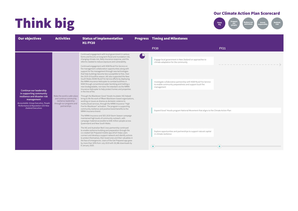

| <b>Our objectives</b>                                                                                                                                                                                     | <b>Activities</b>                                                                                                           | <b>Status of implementation</b><br><b>H1 FY20</b>                                                                                                                                                                                                                                                                                                                                                                                                                                                                                                                                                                                                                                                                                                                                                                                                                                                                                                                                                                                                                                                                                                                                                                                                                                                                                                                                                                                                                                                                                                                                                                                                                                                                                                                                                                                                                                                                                                        |   | <b>Progress Timing and Milestones</b>                                                                                                                                                                                                                                                                                                                                                                                                          |             |
|-----------------------------------------------------------------------------------------------------------------------------------------------------------------------------------------------------------|-----------------------------------------------------------------------------------------------------------------------------|----------------------------------------------------------------------------------------------------------------------------------------------------------------------------------------------------------------------------------------------------------------------------------------------------------------------------------------------------------------------------------------------------------------------------------------------------------------------------------------------------------------------------------------------------------------------------------------------------------------------------------------------------------------------------------------------------------------------------------------------------------------------------------------------------------------------------------------------------------------------------------------------------------------------------------------------------------------------------------------------------------------------------------------------------------------------------------------------------------------------------------------------------------------------------------------------------------------------------------------------------------------------------------------------------------------------------------------------------------------------------------------------------------------------------------------------------------------------------------------------------------------------------------------------------------------------------------------------------------------------------------------------------------------------------------------------------------------------------------------------------------------------------------------------------------------------------------------------------------------------------------------------------------------------------------------------------------|---|------------------------------------------------------------------------------------------------------------------------------------------------------------------------------------------------------------------------------------------------------------------------------------------------------------------------------------------------------------------------------------------------------------------------------------------------|-------------|
|                                                                                                                                                                                                           |                                                                                                                             |                                                                                                                                                                                                                                                                                                                                                                                                                                                                                                                                                                                                                                                                                                                                                                                                                                                                                                                                                                                                                                                                                                                                                                                                                                                                                                                                                                                                                                                                                                                                                                                                                                                                                                                                                                                                                                                                                                                                                          |   | <b>FY20</b>                                                                                                                                                                                                                                                                                                                                                                                                                                    | <b>FY21</b> |
| Continue our leadership<br>in supporting community<br>resilience and disaster risk<br>management<br>Accountable: Group Executive, People<br>Performance & Reputation CEO New<br><b>Zealand Executives</b> | Make the world a safer place<br>and continue community<br>resilience leadership<br>through our programs and<br>partnerships | Continued engagement with local government in various<br>forms and forums on long-term flood and inundation risk,<br>changing climate risk, likely insurance response, and the<br>reforms needed to reduce exposure and vulnerability.<br>Continued engagement with NSW Rural Fire Service on<br>fire management collaboration opportunities along with<br>support for fire management through new technologies<br>that help buildings become less susceptible to fires. Over<br>the 2019-20 bushfire season, IAG also supported the New<br>South Wales (NSW) Rural Fire Service efforts by deploying<br>the NRMA Insurance Helicopter to combat bushfires in<br>NSW through conventional water bombing and trialling a<br>new biodegradable, non-toxic fire retardant via the NRMA<br>Insurance Helicopter to help protect homes and properties<br>in the line of fire.<br>Through the Blacktown Good 'Hoods Incubator IAG helped<br>bring to life the work of fifteen Blacktown-based organisations,<br>working on issues as diverse as domestic violence to<br>multicultural services, through the NRMA Insurance "High<br>Five for Blacktown" activation. The program is supporting<br>community resilience and positive brand benefits to the<br>NRMA Insurance brand.<br>The NRMA Insurance and SES 2019 Storm Season campaign<br>maintained high levels of community outreach, with<br>campaign material accessible to 8.86 million people across<br>Oueensland and New South Wales.<br>The IAG and Australian Red Cross partnership continued<br>to enable resilience building and preparation through the<br>co-created Get Prepared mobile app which helps users<br>connect and develop a support network and identify actions<br>to protect themselves, their loved ones and their valuables in<br>the face of emergencies. Users of the Get Prepared app grew<br>by more than 50% from July 2019 with 30,386 downloads by<br>8 January 2020. | Ľ | Engage local government in New Zealand on approaches to<br>climate adaptation for the community<br>Investigate collaborative partnership with NSW Rural Fire Service<br>to enable community preparedness and support bush fire<br>management<br>Expand Good 'Hoods program National Movement that aligns to the Climate Action Plan<br>Explore opportunities and partnerships to support natural capital<br>in climate resilience<br>$\bullet$ | $\bullet$   |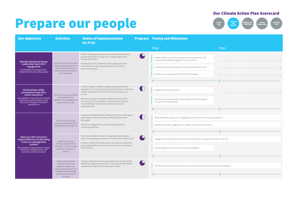### Prepare our people



| <b>Our objectives</b>                                                                                                                                | <b>Activities</b>                                                                                     | <b>Status of implementation</b><br><b>H1 FY20</b>                                                                                                                                                                                                          |        | <b>Progress Timing and Milestones</b>                                                                                                                                     |                             |
|------------------------------------------------------------------------------------------------------------------------------------------------------|-------------------------------------------------------------------------------------------------------|------------------------------------------------------------------------------------------------------------------------------------------------------------------------------------------------------------------------------------------------------------|--------|---------------------------------------------------------------------------------------------------------------------------------------------------------------------------|-----------------------------|
|                                                                                                                                                      |                                                                                                       |                                                                                                                                                                                                                                                            |        | <b>FY20</b>                                                                                                                                                               | <b>FY21</b>                 |
| <b>Maintain Board and Group</b><br>Leadership Team (GLT)<br>engagement<br>Accountable: Group Executive,<br>People Performance & Reputation           | Support CAP initiatives with<br>accountability, governance<br>and reporting structures                | Further refined governance, accountability and attestation<br>process with EGM level sign off on progress against the<br>Climate Action Plan.<br>Climate Action Plan implementation update delivered<br>to the Board as a part of annual Safer Communities |        | Further embed a reporting and governance process for CAP<br>scorecard through existing governance functions<br>6-monthly reporting on status of CAP implementation to GLT | _____________<br>---------- |
|                                                                                                                                                      | with overall ownership by<br>GLT and Board                                                            | performance report.                                                                                                                                                                                                                                        |        | At least annual reporting to Board on CAP progress                                                                                                                        |                             |
|                                                                                                                                                      |                                                                                                       |                                                                                                                                                                                                                                                            |        | ۸                                                                                                                                                                         | $\bullet$                   |
| <b>Demonstrate visible</b><br>commitment from IAG's                                                                                                  |                                                                                                       | Climate change included in strategy setting, with further<br>integration into business planning across divisions underway.<br>Further integration into FY21 business planning to occur<br>in FY20.                                                         |        | Integrate with business plans                                                                                                                                             |                             |
| senior executives<br>Accountable: Group Executive, People<br>Performance & Reputation Group<br>Executive, Strategy & Corporate<br><b>Development</b> | Ensure CAP accountabilities<br>are translated into<br>performance management<br>process for key roles | Performance goals have been developed and included<br>for key GLT and senior leaders. Further work to be done<br>on embedding in performance goal process across                                                                                           |        | Ensure GLT and appropriate senior leader performance goals<br>include CAP accountability                                                                                  |                             |
|                                                                                                                                                      |                                                                                                       | additional roles.                                                                                                                                                                                                                                          |        | Ω                                                                                                                                                                         |                             |
|                                                                                                                                                      | Factor climate change<br>risks and performance into<br>partnering considerations                      | Continued implementation of Responsible Sourcing Program<br>with Supplier Code of Conduct and ESG Questionnaire<br>developed.                                                                                                                              |        | Build systematic approach to engage with procurement and business partners                                                                                                |                             |
|                                                                                                                                                      |                                                                                                       | Additional engagement on climate change with key<br>community partners.                                                                                                                                                                                    |        | Expand systematic engagement to supply chain partners in claims                                                                                                           |                             |
|                                                                                                                                                      |                                                                                                       |                                                                                                                                                                                                                                                            |        | ٠                                                                                                                                                                         | $\bullet$                   |
| Make our CAP everyone's<br>responsibility by incorporating<br>it into our management                                                                 | Establish incentives<br>and accountabilities for<br>individual climate change<br>elements through our | Key roles and talent involved in ongoing climate scenario<br>work, including deep immersion in scenarios for a 2030 world.                                                                                                                                 |        | Engage promising talent (as well as business leaders) in programs of work in the CAP                                                                                      |                             |
| systems<br>Accountable: Group Executive, People<br>Performance & Reputation, CEO<br>Australia, CEO New Zealand                                       |                                                                                                       | A refresh of the FY20 Climate Action Plan and Scorecard with<br>accountable EGM's has refined actions and accountability for<br>FY20 and FY21.                                                                                                             |        | Improve governance of CAP and role accountability                                                                                                                         |                             |
|                                                                                                                                                      | systems                                                                                               |                                                                                                                                                                                                                                                            |        | ٠                                                                                                                                                                         |                             |
|                                                                                                                                                      | Support learning and<br>development of our                                                            | Climate change has been incorporated into a number of key<br>leadership programs across IAG, for example Change Makers,                                                                                                                                    | $\Box$ |                                                                                                                                                                           |                             |
|                                                                                                                                                      | people to support our<br>organisational capacity to                                                   | a leadership program for female leaders at IAG.                                                                                                                                                                                                            |        | Develop and embed climate topics into induction, learning and development programs                                                                                        |                             |
|                                                                                                                                                      | manage climate change<br>issues across roles and<br>functions                                         |                                                                                                                                                                                                                                                            |        | ٠                                                                                                                                                                         |                             |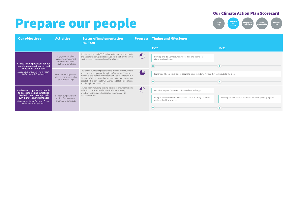### Prepare our people



| <b>Our objectives</b>                                                                                                                                                                             | <b>Activities</b>                                                                                   | <b>Status of implementation</b><br><b>H1 FY20</b>                                                                                                                                                                                                                                                                                                              | <b>Progress Timing and Milestones</b>                                                                                                                      |                                                           |
|---------------------------------------------------------------------------------------------------------------------------------------------------------------------------------------------------|-----------------------------------------------------------------------------------------------------|----------------------------------------------------------------------------------------------------------------------------------------------------------------------------------------------------------------------------------------------------------------------------------------------------------------------------------------------------------------|------------------------------------------------------------------------------------------------------------------------------------------------------------|-----------------------------------------------------------|
|                                                                                                                                                                                                   |                                                                                                     |                                                                                                                                                                                                                                                                                                                                                                | <b>FY20</b>                                                                                                                                                | <b>FY21</b>                                               |
| Create simple pathways for our<br>people to remain involved and<br>contribute to our plan<br>Accountable: Group Executive, People,<br>Performance & Reputation                                    | Engage our people to<br>successfully implement<br>emissions reduction<br>initiatives at our offices | An internal video by IAG's Principal Meteorologist, the climate<br>and weather expert, provided an update to staff on the severe<br>weather season for Australia and New Zealand.                                                                                                                                                                              | Develop and deliver resources for leaders and teams on<br>climate-related issues                                                                           | $\bullet$                                                 |
|                                                                                                                                                                                                   | Maintain and implement<br>internal engagement plan<br>on climate change                             | Delivered a number of presentations, internal articles, reports<br>and videos to our people through the first half of FY20. An<br>internal event with the Red Cross titled 'Natural Disasters in a<br>Warming World' in November 2019 was attended by over 300<br>people both in person at IAG's Sydney and Melbourne offices<br>and through the live webcast. | Explore additional ways for our people to be engaged in activities that contribute to the plan<br>۰                                                        |                                                           |
| Enable and support our people<br>to access tools and initiatives<br>that help them manage their<br>own climate change impacts<br>Accountable: Group Executive, People<br>Performance & Reputation | Support our people with<br>tools, information and<br>programs to contribute                         | IAG has been evaluating existing policies to ensure emissions<br>reduction can be a consideration in decision making.<br>Investigation into opportunities has commenced with<br>relevant divisions.                                                                                                                                                            | Mobilise our people to take action on climate change<br>Integrate vehicle CO2 emissions into revision of salary sacrificed<br>packaged vehicle scheme<br>۰ | Develop climate-related opportunities in employee program |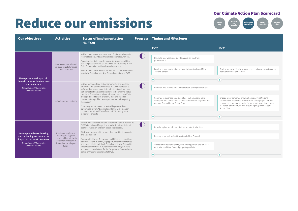### **Reduce our emissions**

Think big Rethink risk Reduce our emissions Prepare our people

| <b>Our objectives</b>                                                                                                                                 | <b>Activities</b>                                                                                                                           | <b>Status of implementation</b><br><b>H1 FY20</b>                                                                                                                                                                                                                                                                                                                                                                                                                                                                                                                                                                                                          | <b>Progress Timing and Milestones</b>                                                                                                                                                                                                 |                                                                                                                                                                                                                                                                              |
|-------------------------------------------------------------------------------------------------------------------------------------------------------|---------------------------------------------------------------------------------------------------------------------------------------------|------------------------------------------------------------------------------------------------------------------------------------------------------------------------------------------------------------------------------------------------------------------------------------------------------------------------------------------------------------------------------------------------------------------------------------------------------------------------------------------------------------------------------------------------------------------------------------------------------------------------------------------------------------|---------------------------------------------------------------------------------------------------------------------------------------------------------------------------------------------------------------------------------------|------------------------------------------------------------------------------------------------------------------------------------------------------------------------------------------------------------------------------------------------------------------------------|
|                                                                                                                                                       |                                                                                                                                             |                                                                                                                                                                                                                                                                                                                                                                                                                                                                                                                                                                                                                                                            | <b>FY20</b>                                                                                                                                                                                                                           | <b>FY21</b>                                                                                                                                                                                                                                                                  |
| Manage our own impacts in<br>line with a transition to a low-<br>carbon future<br>Accountable: CEO Australia;<br><b>CEO New Zealand</b>               | Meet IAG's science-based<br>emission targets for scope<br>1 and 2 emissions                                                                 | IAG has commenced an assessment of options to integrate<br>renewable energy into Australian electricity procurement.<br>Operational emissions performance for Australia and New<br>Zealand presented through IAG's FY19 Data Summary in the<br>Safer Communities section of www.iag.com.au.<br>IAG has commenced work to localise science-based emissions<br>targets for Australian and New Zealand operations in FY20.                                                                                                                                                                                                                                    | Integrate renewable energy into Australian electricity<br>procurement<br>Localise operational emissions targets to Australia and New<br>Zealand context<br>۰                                                                          | Review opportunities for science based emissions targets across<br>additional emissions sources                                                                                                                                                                              |
|                                                                                                                                                       | Maintain carbon neutrality                                                                                                                  | IAG has purchased and retired carbon offsets to meet its<br>carbon neutral commitment since 2012. Our approach is<br>to forward estimate our emissions footprint and purchase<br>sufficient offset units to maintain our carbon neutral status<br>over time. The costs associated with purchasing the offsets<br>are apportioned to each of the IAG divisions based on<br>their emissions profile, creating an internal carbon pricing<br>mechanism.<br>Continuing to purchase a considerable portion of our<br>carbon credits from Aboriginal and Torres Strait Islander<br>communities, with 42% of offsets for FY18 coming from<br>Indigenous projects. | Continue and expand our internal carbon pricing mechanism<br>Continue to purchase a portion of our carbon credits from<br>Aboriginal and Torres Strait Islander communities as part of our<br>ongoing Reconciliation Action Plan<br>۰ | Engage other corporate organisations and First Nations<br>communities to develop a new carbon offset project that will<br>provide an economic opportunity and employment outcomes<br>for a local community as part of our ongoing Reconciliation<br>Action Plan<br>$\bullet$ |
| Leverage the latest thinking<br>and technology to reduce the<br>impact of our work processes<br>Accountable: CEO Australia.<br><b>CEO New Zealand</b> | Create and implement<br>a strategy to align our<br>operational footprint with<br>the carbon budget for a<br>lower than two degree<br>future | IAG has reduced emissions and remains on track to achieve its<br>FY20 Science Based Target due to reductions in emissions in<br>both our Australian and New Zealand operations.<br>Work has commenced to support fleet transition in Australia<br>and New Zealand.<br>A group wide Energy Renewables and Efficiency project has<br>commenced and is identifying opportunities for renewables<br>and energy efficiency in both Australian and New Zealand to<br>support achievement of our Science Based Target to 2025<br>and beyond. Installation of solar PV system at Burwood data<br>centre on track for second half of FY20.                          | Introduce pilot to reduce emissions from Australian fleet<br>Develop approach to fleet transition in New Zealand<br>Assess renewable and energy efficiency opportunities for IAG's<br>Australian and New Zealand property portfolio   |                                                                                                                                                                                                                                                                              |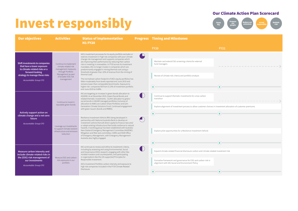### Invest responsibly Think The Ceduce our Investigation of the Centralist Contract of the Centralist Centralist Responsible



| <b>Our objectives</b>                                                                                                                                                        | <b>Activities</b>                                                                                                                                    | <b>Status of implementation</b><br><b>H1 FY20</b>                                                                                                                                                                                                                                                                                                                                                                                                                                                                                                                                                                                                                                                                                                                                                            |                | <b>Progress Timing and Milestones</b>                                                                                                                                                                            |             |
|------------------------------------------------------------------------------------------------------------------------------------------------------------------------------|------------------------------------------------------------------------------------------------------------------------------------------------------|--------------------------------------------------------------------------------------------------------------------------------------------------------------------------------------------------------------------------------------------------------------------------------------------------------------------------------------------------------------------------------------------------------------------------------------------------------------------------------------------------------------------------------------------------------------------------------------------------------------------------------------------------------------------------------------------------------------------------------------------------------------------------------------------------------------|----------------|------------------------------------------------------------------------------------------------------------------------------------------------------------------------------------------------------------------|-------------|
|                                                                                                                                                                              |                                                                                                                                                      |                                                                                                                                                                                                                                                                                                                                                                                                                                                                                                                                                                                                                                                                                                                                                                                                              |                | <b>FY20</b>                                                                                                                                                                                                      | <b>FY21</b> |
| Shift investments to companies<br>that have a lower exposure<br>to climate-related risks or a<br>forward-looking<br>strategy to manage these risks<br>Accountable: Group CFO | Continue to implement<br>climate-related risk<br>management measures<br>through Portfolio<br>Management as part<br>of broader ESG risk<br>management | IAG's investment processes for its equity portfolio excludes or<br>restricts investment in high risk companies with poor climate<br>change risk management and supports companies which<br>are improving their performance by reducing their carbon<br>risk or investing in renewables. In FY20 across its investment<br>mandates, IAG no longer invests in companies which are<br>predominantly engaged in mining thermal coal (using a<br>threshold of greater than 10% of revenue from the mining of<br>thermal coal).<br>The normalised carbon footprint of IAG's equity portfolios has<br>fallen moderately from levels reported end June 2019 and<br>remains lower than comparable benchmarks. Exposure to<br>higher risk companies fell from 0.13% of investment portfolio<br>end June 2019 to 0.08%. | $\bigoplus$    | Maintain and extend ESG screening criteria for external<br>fund managers<br>Review of climate risk criteria and portfolio analysis<br>۰                                                                          |             |
| Actively support action on                                                                                                                                                   | Continue to invest in<br>reputable green bonds                                                                                                       | IAG are targeting an increase in green bonds allocation to<br>A\$200M. As at December 2019, Green/Social Bonds and<br>related thematic investments - \$124m allocation to green/<br>social bonds in IAGAM managed portfolios (inclusive of<br>allocation to NAB Low Carbon Share Portfolio) and \$2m<br>Generation Climate Solutions Fund. Continued engagement<br>with green issuers (bonds and RMBS).                                                                                                                                                                                                                                                                                                                                                                                                      | $\blacksquare$ | Continue to support thematic investments for a low carbon<br>transition<br>Explore alignment of investment process to allow customer choices in investment allocation of customer premiums<br>۰                  | o           |
| climate change and a net-zero<br>future<br>Accountable: Group CFO                                                                                                            | Leverage our investments<br>to support climate resilient<br>infrastructure and emission<br>reduction                                                 | Resilience Investment Vehicle (RIV) being developed in<br>partnership with National Australia Bank to develop an<br>investment vehicle that will direct capital to finance new and/<br>or adapt existing infrastructure that builds resilience to natural<br>hazards. A working group has been established with Australia-<br>New Zealand Emergency Management Committee (ANZEMC)<br>Mitigation and Risk Sub-committee, CSIRO and NSW Office<br>of Emergency Management, with Emergency Management<br>Australia also highly engaged.                                                                                                                                                                                                                                                                         |                | Explore pilot opportunities for a Resilience Investment Vehicle<br>$\bullet$                                                                                                                                     |             |
| Measure carbon intensity and<br>include climate-related risks in<br>the (ESG) risk management of<br>our investments<br>Accountable: Group CFO                                | Measure ESG and carbon<br>risk exposures in our<br>portfolio                                                                                         | IAG continues to review and refine its investment criteria,<br>including by assessing and using Environmental, Social<br>and Governance (ESG) research, engaging with other like-<br>minded investors and counterparties, and participating<br>in organisations like the UN-supported Principles for<br>Responsible Investment.<br>IAG's Investment Portfolio carbon intensity and exposure to<br>high risk companies included in the FY19 Climate Related<br>Disclosure.                                                                                                                                                                                                                                                                                                                                    | $\bigcirc$     | Expand climate-related financial disclosure carbon and climate-related investment risk<br>Formalise framework and governance for ESG and carbon risk in<br>alignment with IAG Social and Environment Policy<br>۰ |             |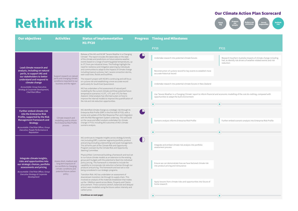#### Think big Rethink risk Reduce our emissions Prepare our people

| <b>Our objectives</b>                                                                                                                                                                                                            | <b>Activities</b>                                                                                                                                                                                                                                                                                                                                                                                                                                                                                                                       | <b>Status of implementation</b><br><b>H1 FY20</b>                                                                                                                                                                                                                                                                                                                                                                                                                                                                                                                                                                                                                                     |                                                   | <b>Progress Timing and Milestones</b>                                                                                                                                              |                                                                                                                                                   |
|----------------------------------------------------------------------------------------------------------------------------------------------------------------------------------------------------------------------------------|-----------------------------------------------------------------------------------------------------------------------------------------------------------------------------------------------------------------------------------------------------------------------------------------------------------------------------------------------------------------------------------------------------------------------------------------------------------------------------------------------------------------------------------------|---------------------------------------------------------------------------------------------------------------------------------------------------------------------------------------------------------------------------------------------------------------------------------------------------------------------------------------------------------------------------------------------------------------------------------------------------------------------------------------------------------------------------------------------------------------------------------------------------------------------------------------------------------------------------------------|---------------------------------------------------|------------------------------------------------------------------------------------------------------------------------------------------------------------------------------------|---------------------------------------------------------------------------------------------------------------------------------------------------|
|                                                                                                                                                                                                                                  |                                                                                                                                                                                                                                                                                                                                                                                                                                                                                                                                         |                                                                                                                                                                                                                                                                                                                                                                                                                                                                                                                                                                                                                                                                                       |                                                   | <b>FY20</b>                                                                                                                                                                        | <b>FY21</b>                                                                                                                                       |
| Lead climate research and                                                                                                                                                                                                        |                                                                                                                                                                                                                                                                                                                                                                                                                                                                                                                                         | Release of the IAG and NCAR "Severe Weather in a Changing<br>Climate". The report includes the latest data on the state<br>of the climate and predictions on future extreme weather<br>events based on a range of warming global temperatures, up<br>to 3°C from pre-industrial times. The findings highlight the<br>need for resilience and mitigation planning by individuals                                                                                                                                                                                                                                                                                                       | $\bigcirc$                                        | Undertake research into potential climate futures                                                                                                                                  | Research Southern Australia impacts of climate change including<br>hail, to identify risk drivers of weather-related events and risk<br>reduction |
| analysis, including on natural<br>perils, to support IAG and<br>our stakeholders to better                                                                                                                                       | Support research on natural                                                                                                                                                                                                                                                                                                                                                                                                                                                                                                             | and communities to adapt to the impacts of climate change<br>including tropical cyclones, hail / severe convection storms,<br>east-coast lows, floods and bushfires.                                                                                                                                                                                                                                                                                                                                                                                                                                                                                                                  |                                                   | Reconstruction of cyclone record for key events to establish more<br>accurate historical record                                                                                    |                                                                                                                                                   |
| understand and respond to<br>climate change                                                                                                                                                                                      | perils and changing climatic<br>conditions important to our<br>business and the region                                                                                                                                                                                                                                                                                                                                                                                                                                                  | The research project with NCAR is continuing and will focus<br>on cyclone risk and establishing a more accurate record<br>particularly for South East Queensland.                                                                                                                                                                                                                                                                                                                                                                                                                                                                                                                     |                                                   | Undertake research into potential climate futures in New Zealand                                                                                                                   |                                                                                                                                                   |
| Accountable: Group Executive,<br>Strategy & Corporate Development,<br>Chief Risk Officer                                                                                                                                         |                                                                                                                                                                                                                                                                                                                                                                                                                                                                                                                                         | IAG has undertaken a first assessment of natural peril<br>modelling for the current climate and three potential future<br>temperature scenarios (+1.5°C, +2°C and +3°C) for New<br>Zealand. Initial analysis has informed a plan on how to<br>improve the internal models to improve the quantification of<br>the risk and risk reduction opportunities.                                                                                                                                                                                                                                                                                                                              |                                                   | Use 'Severe Weather in a Changing Climate' report to inform financial and economic modelling of the cost do-nothing, compared with<br>opportunities to adapt the built environment |                                                                                                                                                   |
|                                                                                                                                                                                                                                  |                                                                                                                                                                                                                                                                                                                                                                                                                                                                                                                                         |                                                                                                                                                                                                                                                                                                                                                                                                                                                                                                                                                                                                                                                                                       |                                                   | $\bullet$                                                                                                                                                                          | ●                                                                                                                                                 |
| <b>Further embed climate risk</b><br>into the Enterprise Risk<br>Profile, supported by the Risk<br><b>Management Framework and</b>                                                                                               | IAG identified climate change as a strategic risk through its<br>Enterprise Risk Profile (ERP) in the first half of FY20, with a<br>review and update of the Risk Response Plan and integration<br>with the Risk Management System underway. This will build<br>Climate research and<br>on the cause and effect analysis undertaken for climate<br>modelling used to inform<br>change in FY19, including the outcomes of IAG's climate<br>the Enterprise Risk Profile<br><b>Strategy</b><br>scenario analysis.<br>process<br>Reputation | $\bigoplus$                                                                                                                                                                                                                                                                                                                                                                                                                                                                                                                                                                                                                                                                           | Scenario analysis informs Enterprise Risk Profile | Further embed scenario analysis into Enterprise Risk Profile                                                                                                                       |                                                                                                                                                   |
| Accountable: Chief Risk Officer, Group<br>Executive, People Performance &                                                                                                                                                        |                                                                                                                                                                                                                                                                                                                                                                                                                                                                                                                                         |                                                                                                                                                                                                                                                                                                                                                                                                                                                                                                                                                                                                                                                                                       |                                                   | $\bullet$                                                                                                                                                                          | ۰                                                                                                                                                 |
|                                                                                                                                                                                                                                  |                                                                                                                                                                                                                                                                                                                                                                                                                                                                                                                                         | IAG continues to integrate insights across strategy & trends;                                                                                                                                                                                                                                                                                                                                                                                                                                                                                                                                                                                                                         | $\bigcirc$                                        |                                                                                                                                                                                    |                                                                                                                                                   |
|                                                                                                                                                                                                                                  |                                                                                                                                                                                                                                                                                                                                                                                                                                                                                                                                         | risk (including ERP); customer segments/portfolio; product<br>and pricing (including underwriting) and asset management.<br>This all forms part of the Climate Risk and Opportunity<br>Program overseen by the Climate Risk and Opportunity<br>Steering Committee.                                                                                                                                                                                                                                                                                                                                                                                                                    |                                                   | Integrate and embed climate risk analysis into portfolio<br>assessment process                                                                                                     |                                                                                                                                                   |
| Integrate climate insights,<br>risks and opportunities into<br>our strategic choices, portfolio<br>assessments and pricing<br>Accountable: Chief Risk Officer, Group<br><b>Executive Strategy &amp; Corporate</b><br>Development | Assess short, medium and<br>long-term exposure of<br>our portfolio to changing<br>climatic conditions and<br>potential future carbon<br>policy                                                                                                                                                                                                                                                                                                                                                                                          | Physical Risk: Commenced building a framework and tool set<br>to run future climate models as an extension to the existing<br>group peril budgets with the potential to feed into individual<br>policy pricing. This framework is intended to include the<br>capability to incorporate risk reduction schemes through our<br>products and pricing. This framework and tool set is now<br>being considered in our strategic programs.<br>Transition Risk: IAG has undertaken an assessment of<br>downstream transition risk through its supply chain. This<br>involved an analysis of the materials breakdown that makes<br>up the ~\$4billion spend across Motor, Property and Claims |                                                   | Ensure we can demonstrate how we have factored climate risk<br>into product pricing and reinsurance<br>Apply lessons from climate risks and opportunities into future of           |                                                                                                                                                   |
|                                                                                                                                                                                                                                  |                                                                                                                                                                                                                                                                                                                                                                                                                                                                                                                                         | procurement. Three scenarios (stretch, balanced and delayed<br>action) were modelled using the future carbon intensity and<br>carbon price.                                                                                                                                                                                                                                                                                                                                                                                                                                                                                                                                           |                                                   | home research                                                                                                                                                                      |                                                                                                                                                   |
|                                                                                                                                                                                                                                  |                                                                                                                                                                                                                                                                                                                                                                                                                                                                                                                                         | (Continue on next page)                                                                                                                                                                                                                                                                                                                                                                                                                                                                                                                                                                                                                                                               |                                                   | $\bullet$                                                                                                                                                                          | ٠                                                                                                                                                 |

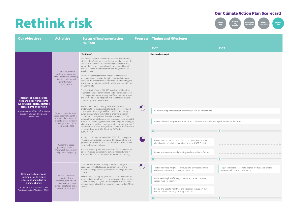### **Rethink risk**



| <b>Our objectives</b>                                                                                                                                                                                                            | <b>Activities</b>                                                                                                                                                    | <b>Status of implementation</b><br><b>H1 FY20</b>                                                                                                                                                                                                                                                                                                                                                                                                                                                                                                                                                                                                                                                                                                                                                                                                                                                                     |        | <b>Progress Timing and Milestones</b>                                                                                                                                                                                                                                                                                     |                                                                                                     |
|----------------------------------------------------------------------------------------------------------------------------------------------------------------------------------------------------------------------------------|----------------------------------------------------------------------------------------------------------------------------------------------------------------------|-----------------------------------------------------------------------------------------------------------------------------------------------------------------------------------------------------------------------------------------------------------------------------------------------------------------------------------------------------------------------------------------------------------------------------------------------------------------------------------------------------------------------------------------------------------------------------------------------------------------------------------------------------------------------------------------------------------------------------------------------------------------------------------------------------------------------------------------------------------------------------------------------------------------------|--------|---------------------------------------------------------------------------------------------------------------------------------------------------------------------------------------------------------------------------------------------------------------------------------------------------------------------------|-----------------------------------------------------------------------------------------------------|
|                                                                                                                                                                                                                                  |                                                                                                                                                                      |                                                                                                                                                                                                                                                                                                                                                                                                                                                                                                                                                                                                                                                                                                                                                                                                                                                                                                                       |        | <b>FY20</b>                                                                                                                                                                                                                                                                                                               | <b>FY21</b>                                                                                         |
|                                                                                                                                                                                                                                  |                                                                                                                                                                      | (Continued)                                                                                                                                                                                                                                                                                                                                                                                                                                                                                                                                                                                                                                                                                                                                                                                                                                                                                                           |        | (See previous page)                                                                                                                                                                                                                                                                                                       |                                                                                                     |
| Integrate climate insights,<br>risks and opportunities into<br>our strategic choices, portfolio<br>assessments and pricing<br>Accountable: Chief Risk Officer, Group<br><b>Executive Strategy &amp; Corporate</b><br>Development | Assess short, medium<br>and long-term exposure<br>of our portfolio to changing<br>climatic conditions and<br>potential future<br>carbon policy                       | The impacts under all scenarios to 2030 and 2050 are small,<br>with less than 0.05% impact on the home and motor supply<br>chain due to transition risk, confirming that physical risks,<br>such as the change in natural peril frequency and intensity,<br>present the most material medium and long term risk to<br>IAG's business.<br>IAG will use the insights of the analysis to manage risks<br>and identify opportunities through our value chain. More<br>details on the impacts to IAG's commercial underwriting and<br>investments from transitional risks will be provided with the<br>full year results.<br>Consistent with Physical Risk, IAG has also considered the<br>regional impacts of transition risks and opportunities based<br>on changes in economic activity for different sectors to 2030<br>and 2050. This will be integrated with the physical risk and<br>opportunity impact assessment. |        |                                                                                                                                                                                                                                                                                                                           |                                                                                                     |
|                                                                                                                                                                                                                                  | Deliver on commitment to<br>cease underwriting entities<br>mainly in the business of<br>extracting fossil fuels and<br>power generation from<br>fossil fuels by 2023 | IAG has committed to ceasing underwriting entities<br>predominately in the business of extracting fossil fuels and<br>power generation using fossil fuels by 2023. Supporting<br>our purpose, we have committed to underwrite workers<br>compensation irrespective of the climate intensity of the<br>industry they work in because everyone needs to be protected<br>at work. IAG's annual gross written premium (GWP) relating to<br>all mining and fossil fuel power generation (including workers'<br>compensation in these areas) was less than \$10 million, which<br>equates to less than 0.1% of the total GWP written<br>by IAG in FY19.                                                                                                                                                                                                                                                                     |        | Publish and implement carbon exclusion process for underwriting<br>Assess and consider appropriate carbon and climate-related underwriting risk metrics for disclosure<br>$\bullet$                                                                                                                                       | ۰                                                                                                   |
|                                                                                                                                                                                                                                  | Use scenario-based<br>planning to support<br>strategy, risk management<br>and product and pricing                                                                    | Actively contributing to the UNEP-FI TCFD pilot through the<br>Principles for Sustainable Insurance (PSI) to contribute to a<br>globally harmonised approach to scenario disclosure across<br>the wider insurance industry.<br>Scenario workshop with a cross section of stakeholders from<br>across IAG tested scenarios in a climate impacted world in<br>2030 and identified opportunities for product and pricing.                                                                                                                                                                                                                                                                                                                                                                                                                                                                                                | $\Box$ | Collaborate on climate-related risk assessment with local and<br>global partners, including participation in the UNEP-FI pilot<br>Implement scenario-based planning on climate change futures<br>٠                                                                                                                        |                                                                                                     |
| Help our customers and<br>communities to reduce<br>emissions and adapt to<br>climate change<br>Accountable: CEO Australia, CEO<br>New Zealand, Chief Customer Officer                                                            | Pursue commercial<br>opportunities to<br>support customers and<br>communities to pursue<br>climate adaptation and a<br>low carbon transition                         | Commenced a low carbon living project to investigate<br>customer desirability towards low carbon mobility and<br>integrating energy efficiency and renewable energy into their<br>homes.<br>NRMA marketing campaign promoted climate awareness and<br>koala habitat through forest regeneration campaign - one tree<br>planted for every policy sold. Partnering with Conservation<br>Volunteers Australia with the campaign aiming to plant 37,500<br>trees in FY20.                                                                                                                                                                                                                                                                                                                                                                                                                                                 |        | Test and develop insights for products and services relating to<br>resilience, safety and a low-carbon transition<br>Update existing fuel efficiency discount and expand to low-<br>carbon mobility incentive<br>Review and update incentives and education to support low-<br>carbon behaviour through existing products | Target and scale new climate-aligned products that enable<br>emission reduction and adaptation<br>۰ |